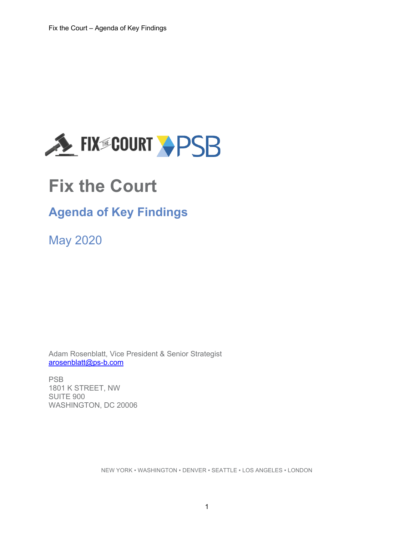

# **Fix the Court**

# **Agenda of Key Findings**

May 2020

Adam Rosenblatt, Vice President & Senior Strategist arosenblatt@ps-b.com

PSB 1801 K STREET, NW SUITE 900 WASHINGTON, DC 20006

NEW YORK • WASHINGTON • DENVER • SEATTLE • LOS ANGELES • LONDON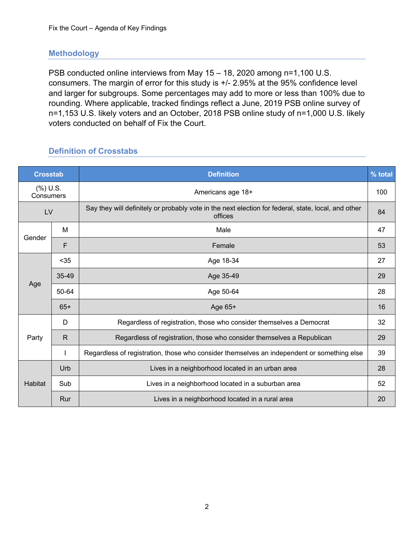#### **Methodology**

PSB conducted online interviews from May 15 – 18, 2020 among n=1,100 U.S. consumers. The margin of error for this study is +/- 2.95% at the 95% confidence level and larger for subgroups. Some percentages may add to more or less than 100% due to rounding. Where applicable, tracked findings reflect a June, 2019 PSB online survey of n=1,153 U.S. likely voters and an October, 2018 PSB online study of n=1,000 U.S. likely voters conducted on behalf of Fix the Court.

#### **Definition of Crosstabs**

| <b>Crosstab</b>          |              | <b>Definition</b>                                                                                              | % total |
|--------------------------|--------------|----------------------------------------------------------------------------------------------------------------|---------|
| $(\%)$ U.S.<br>Consumers |              | Americans age 18+                                                                                              | 100     |
| LV                       |              | Say they will definitely or probably vote in the next election for federal, state, local, and other<br>offices | 84      |
|                          | м            | Male                                                                                                           | 47      |
| Gender                   | F            | Female                                                                                                         | 53      |
|                          | $35$         | Age 18-34                                                                                                      | 27      |
|                          | 35-49        | Age 35-49                                                                                                      | 29      |
| Age                      | 50-64        | Age 50-64                                                                                                      | 28      |
|                          | $65+$        | Age 65+                                                                                                        | 16      |
|                          | D            | Regardless of registration, those who consider themselves a Democrat                                           | 32      |
| Party                    | $\mathsf{R}$ | Regardless of registration, those who consider themselves a Republican                                         | 29      |
|                          | I.           | Regardless of registration, those who consider themselves an independent or something else                     | 39      |
|                          | Urb          | Lives in a neighborhood located in an urban area                                                               | 28      |
| <b>Habitat</b>           | Sub          | Lives in a neighborhood located in a suburban area                                                             | 52      |
|                          | Rur          | Lives in a neighborhood located in a rural area                                                                | 20      |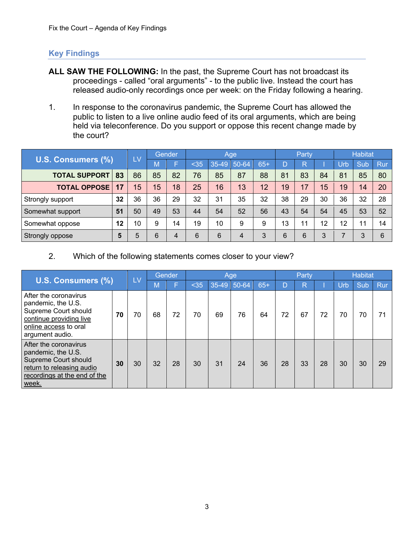#### **Key Findings**

- **ALL SAW THE FOLLOWING:** In the past, the Supreme Court has not broadcast its proceedings - called "oral arguments" - to the public live. Instead the court has released audio-only recordings once per week: on the Friday following a hearing.
- 1. In response to the coronavirus pandemic, the Supreme Court has allowed the public to listen to a live online audio feed of its oral arguments, which are being held via teleconference. Do you support or oppose this recent change made by the court?

|                      |    | LV |    | Gender |      |             | Age |       |                 | Party |    |     | <b>Habitat</b> |     |
|----------------------|----|----|----|--------|------|-------------|-----|-------|-----------------|-------|----|-----|----------------|-----|
| U.S. Consumers (%)   |    |    |    |        | $35$ | 35-49 50-64 |     | $65+$ |                 |       |    | Urb | Sub            | Rur |
| <b>TOTAL SUPPORT</b> | 83 | 86 | 85 | 82     | 76   | 85          | 87  | 88    | 81              | 83    | 84 | 81  | 85             | 80  |
| <b>TOTAL OPPOSE</b>  | 17 | 15 | 15 | 18     | 25   | 16          | 13  | 12    | 19 <sup>°</sup> | 17    | 15 | 19  | 14             | 20  |
| Strongly support     | 32 | 36 | 36 | 29     | 32   | 31          | 35  | 32    | 38              | 29    | 30 | 36  | 32             | 28  |
| Somewhat support     | 51 | 50 | 49 | 53     | 44   | 54          | 52  | 56    | 43              | 54    | 54 | 45  | 53             | 52  |
| Somewhat oppose      | 12 | 10 |    | 14     | 19   | 10          | 9   | 9     | 13              | 11    | 12 | 12  | 11             | 14  |
| Strongly oppose      | 5  | 5  | 6  | 4      | 6    | 6           | 4   |       |                 | 6     | 3  |     | $\Omega$       | 6   |

#### 2. Which of the following statements comes closer to your view?

|                                                                                                                                            |    | LV |    | Gender |      |             | Age |       |    | Party        |    |     | <b>Habitat</b> |     |
|--------------------------------------------------------------------------------------------------------------------------------------------|----|----|----|--------|------|-------------|-----|-------|----|--------------|----|-----|----------------|-----|
| U.S. Consumers (%)                                                                                                                         |    |    |    |        | $35$ | 35-49 50-64 |     | $65+$ | D  | $\mathsf{R}$ |    | Urb | Sub            | Rur |
| After the coronavirus<br>pandemic, the U.S.<br>Supreme Court should<br>continue providing live<br>online access to oral<br>argument audio. | 70 | 70 | 68 | 72     | 70   | 69          | 76  | 64    | 72 | 67           | 72 | 70  | 70             | 71  |
| After the coronavirus<br>pandemic, the U.S.<br>Supreme Court should<br>return to releasing audio<br>recordings at the end of the<br>week.  | 30 | 30 | 32 | 28     | 30   | 31          | 24  | 36    | 28 | 33           | 28 | 30  | 30             | 29  |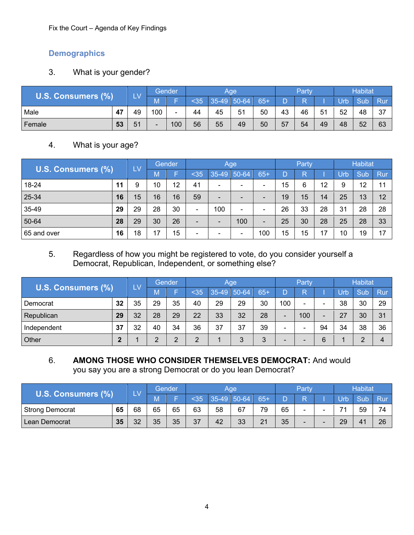Fix the Court – Agenda of Key Findings

# **Demographics**

# 3. What is your gender?

| <b>U.S.</b>   |                         | LV |     | Gender |      | Aae     |         |     |    | Party |    |    | <b>Habitat</b> |     |
|---------------|-------------------------|----|-----|--------|------|---------|---------|-----|----|-------|----|----|----------------|-----|
| Consumers (%) |                         |    |     |        | $35$ | $35-49$ | $50-64$ | 65- |    |       |    |    | Sub            | Rur |
| Male          | $\Delta$ 7<br><b>TI</b> | 49 | 100 |        | 44   | 45      | 51      | 50  | 43 | 46    | 51 | 52 | 48             | 37  |
| Female        | 53                      | 51 |     | 100    | 56   | 55      | 49      | 50  | 57 | 54    | 49 | 48 | 52             | 63  |

## 4. What is your age?

|                    |    | LV |    | Gender |                          |                          | Age |     |    | Party |    |     | <b>Habitat</b> |       |
|--------------------|----|----|----|--------|--------------------------|--------------------------|-----|-----|----|-------|----|-----|----------------|-------|
| U.S. Consumers (%) |    |    | M7 |        | $35$                     | 35-49 50-64              |     | 65+ |    |       |    | Urb | Sub            | Rur   |
| 18-24              | 11 | 9  | 10 | 12     | 41                       | $\overline{\phantom{0}}$ | -   |     | 15 | 6     | 12 | 9   | 12             | $-11$ |
| 25-34              | 16 | 15 | 16 | 16     | 59                       | $\overline{\phantom{0}}$ | -   |     | 19 | 15    | 14 | 25  | 13             | 12    |
| 35-49              | 29 | 29 | 28 | 30     | $\overline{\phantom{0}}$ | 100                      | -   |     | 26 | 33    | 28 | 31  | 28             | 28    |
| 50-64              | 28 | 29 | 30 | 26     | $\qquad \qquad$          | $\overline{\phantom{0}}$ | 100 |     | 25 | 30    | 28 | 25  | 28             | 33    |
| 65 and over        | 16 | 18 | 17 | 15     | $\overline{\phantom{a}}$ | $\overline{\phantom{0}}$ |     | 100 | 15 | 15    | 17 | 10  | 19             | 17    |

#### 5. Regardless of how you might be registered to vote, do you consider yourself a Democrat, Republican, Independent, or something else?

|                           |    | $\overline{1}$ M |    | Gender      |      |               | Age            |                               |                          | Party                    |    |     | <b>Habitat</b> |            |
|---------------------------|----|------------------|----|-------------|------|---------------|----------------|-------------------------------|--------------------------|--------------------------|----|-----|----------------|------------|
| <b>U.S. Consumers (%)</b> |    |                  |    |             | $35$ | $35-49$ 50-64 |                | $65+$                         |                          |                          |    | Urb | Sub            | <b>Rur</b> |
| Democrat                  | 32 | 35               | 29 | 35          | 40   | 29            | 29             | 30                            | 100                      | $\overline{\phantom{0}}$ |    | 38  | 30             | 29         |
| Republican                | 29 | 32               | 28 | 29          | 22   | 33            | 32             | 28                            | $\overline{\phantom{0}}$ | 100                      |    | 27  | 30             | 31         |
| Independent               | 37 | 32               | 40 | 34          | 36   | 37            | 37             | 39                            | -                        | $\overline{\phantom{a}}$ | 94 | 34  | 38             | 36         |
| Other                     |    |                  |    | $\sim$<br>∠ |      |               | $\Omega$<br>ັບ | ົ<br>$\overline{\phantom{a}}$ | -                        |                          | 6  |     |                |            |

#### 6. **AMONG THOSE WHO CONSIDER THEMSELVES DEMOCRAT:** And would you say you are a strong Democrat or do you lean Democrat?

| <b>TIC</b>      |    |    |    | Gender |    |    | Aae  |                 |    | Party |                          | <b>Habitat</b> |     |
|-----------------|----|----|----|--------|----|----|------|-----------------|----|-------|--------------------------|----------------|-----|
| Consumers (%)   |    |    |    |        |    |    | 0-64 | 65 <sub>1</sub> |    |       |                          | <b>Sub</b>     | Rur |
| Strong Democrat | 65 | 68 | 65 | 65     | 63 | 58 | 67   | 79              | 65 |       | $\overline{\phantom{a}}$ | 59             | 74  |
| Lean Democrat   | 35 | 32 | 35 | 35     | 37 | 42 | 33   | 21              | 35 |       | 20<br>ΖJ                 | 4 <sup>7</sup> | 26  |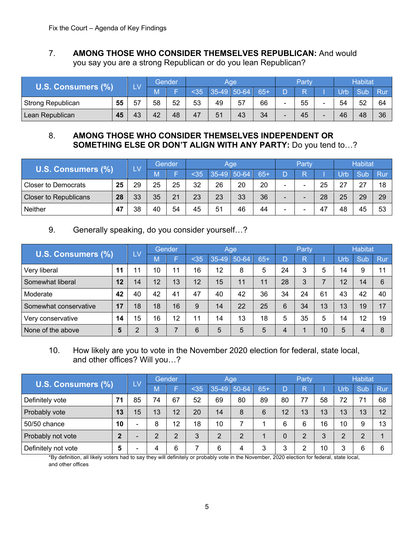#### 7. **AMONG THOSE WHO CONSIDER THEMSELVES REPUBLICAN:** And would you say you are a strong Republican or do you lean Republican?

|                   |    |    |    | Gender |    |    | Aae |                 | Partv |    | <b>Habitat</b> |     |
|-------------------|----|----|----|--------|----|----|-----|-----------------|-------|----|----------------|-----|
| Consumers (%)     |    |    |    |        |    |    | 64  | 65 <sub>1</sub> |       |    | sub            | Rur |
| Strong Republican | 55 | 57 | 58 | 52     | 53 | 49 | 57  | 66              | 55    | 54 | 52             | 64  |
| Lean Republican   | 45 | 43 | 42 | 48     | 47 | 51 | 43  | 34              | 45    | 46 | 48             | 36  |

#### 8. **AMONG THOSE WHO CONSIDER THEMSELVES INDEPENDENT OR SOMETHING ELSE OR DON'T ALIGN WITH ANY PARTY:** Do you tend to…?

|                              |    |     |    | Gender |    |    | Agel      |        | Party |    |                   | <b>Habitat</b> |     |
|------------------------------|----|-----|----|--------|----|----|-----------|--------|-------|----|-------------------|----------------|-----|
| U.S. Consumers (%)           |    | LV. |    |        |    |    | $50 - 64$ | $65 -$ |       |    |                   | <b>Sub</b>     | Rur |
| <b>Closer to Democrats</b>   | 25 | 29  | 25 | 25     | 32 | 26 | 20        | 20     |       | 25 | -27<br>$\epsilon$ | 27             | 18  |
| <b>Closer to Republicans</b> | 28 | 33  | 35 | 21     | 23 | 23 | 33        | 36     |       | 28 | 25                | 29             | 29  |
| Neither                      | 47 | 38  | 40 | 54     | 45 | 51 | 46        | 44     |       | 47 | 48                | 45             | 53  |

#### 9. Generally speaking, do you consider yourself…?

|                       |                | LV |          | Gender |      |         | Age   |       |    | Party |                 |     | Habitat |     |
|-----------------------|----------------|----|----------|--------|------|---------|-------|-------|----|-------|-----------------|-----|---------|-----|
| U.S. Consumers (%)    |                |    |          |        | $35$ | $35-49$ | 50-64 | $65+$ |    |       |                 | Urb | Sub     | Rur |
| Very liberal          | 11             |    | 10       | 11     | 16   | 12      | 8     | 5     | 24 |       | 5               | 14  | 9       | 11  |
| Somewhat liberal      | 12             | 14 | 12       | 13     | 12   | 15      | 11    | 11    | 28 |       |                 | 12  | 14      | 6   |
| Moderate              | 42             | 40 | 42       | 41     | 47   | 40      | 42    | 36    | 34 | 24    | 61              | 43  | 42      | 40  |
| Somewhat conservative | 17             | 18 | 18       | 16     | 9    | 14      | 22    | 25    | 6  | 34    | 13              | 13  | 19      | 17  |
| Very conservative     | 14             | 15 | 16       | 12     |      | 14      | 13    | 18    | 5  | 35    | 5               | 14  | 12      | 19  |
| None of the above     | $5\phantom{1}$ |    | $\Omega$ |        | 6    | 5       | 5     | 5     |    |       | 10 <sup>°</sup> | 5   | 4       | 8   |

#### 10. How likely are you to vote in the November 2020 election for federal, state local, and other offices? Will you…?

|                           |              | LV                       |    | <b>Gender</b> |      |             | Age        |        |    | Party    |               |      | <b>Habitat</b> |     |
|---------------------------|--------------|--------------------------|----|---------------|------|-------------|------------|--------|----|----------|---------------|------|----------------|-----|
| <b>U.S. Consumers (%)</b> |              |                          |    |               | $35$ | 35-49 50-64 |            | $65 +$ |    |          |               | Urb  | Sub            | Rur |
| Definitely vote           |              | 85                       | 74 | 67            | 52   | 69          | 80         | 89     | 80 | 77       | 58            | 72   | 71             | 68  |
| Probably vote             | 13           | 15                       | 13 | 12            | 20   | 14          | 8          | 6      | 12 | 13       | 13            | 13   | 13             | 12  |
| 50/50 chance              | 10           |                          | 8  | 12            | 18   | 10          |            |        |    | 6        | 16            | 10   | 9              | 13  |
| Probably not vote         | $\mathbf{2}$ | $\overline{\phantom{0}}$ | ⌒  | $\sim$        | ર    | $\Omega$    | $\sqrt{2}$ |        |    | $\Omega$ | $\Omega$<br>J |      | $\Omega$       |     |
| Definitely not vote       | 5            |                          |    | 6             |      | 6           | 4          |        |    |          | 10            | - 11 | 6              | 6   |

\*By definition, all likely voters had to say they will definitely or probably vote in the November, 2020 election for federal, state local, and other offices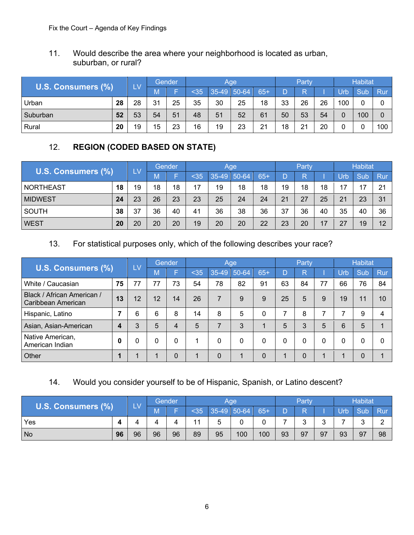#### 11. Would describe the area where your neighborhood is located as urban, suburban, or rural?

|                           |    | LV | Gender |    |    |             | Age |     |    | Party |    |                | <b>Habitat</b>   |             |
|---------------------------|----|----|--------|----|----|-------------|-----|-----|----|-------|----|----------------|------------------|-------------|
| <b>U.S. Consumers (%)</b> |    |    |        |    |    | 35-49 50-64 |     | 65+ |    |       |    | -Irh           | Sub              | Rur         |
| Urban                     | 28 | 28 | 31     | 25 | 35 | 30          | 25  | 18  | 33 | 26    | 26 | 100            | $\Omega$         | $\sim$<br>U |
| Suburban                  | 52 | 53 | 54     | 51 | 48 | 51          | 52  | 61  | 50 | 53    | 54 | $\overline{0}$ | 100 <sub>1</sub> | 0           |
| Rural                     | 20 | 19 | 15     | 23 | 16 | 19          | 23  | 21  | 18 | 21    | 20 | <sup>n</sup>   |                  | 100         |

# 12. **REGION (CODED BASED ON STATE)**

|                    |           |     | Gender |    |      | Age         | Party |       |    | <b>Habitat</b> |    |      |     |     |
|--------------------|-----------|-----|--------|----|------|-------------|-------|-------|----|----------------|----|------|-----|-----|
| U.S. Consumers (%) |           | 'LV |        |    | $35$ | 35-49 50-64 |       | $65+$ |    |                |    | Urb. | Sub | Rur |
| NORTHEAST          | 18        | 19  | 18     | 18 | 17   | 19          | 18    | 18    | 19 | 18             | 18 | 17   | 17  | 21  |
| <b>MIDWEST</b>     | 24        | 23  | 26     | 23 | 23   | 25          | 24    | 24    | 21 | 27             | 25 | 21   | 23  | 31  |
| <b>SOUTH</b>       | 38        | 37  | 36     | 40 | 41   | 36          | 38    | 36    | 37 | 36             | 40 | 35   | 40  | 36  |
| <b>WEST</b>        | <b>20</b> | 20  | 20     | 20 | 19   | 20          | 20    | 22    | 23 | 20             | 17 | 27   | 19  | 12  |

#### 13. For statistical purposes only, which of the following describes your race?

| <b>U.S. Consumers (%)</b>                        |             | <b>LV</b> |       | Gender          |      | <b>Age</b>               | Party         |       |    | <b>Habitat</b> |          |     |     |     |
|--------------------------------------------------|-------------|-----------|-------|-----------------|------|--------------------------|---------------|-------|----|----------------|----------|-----|-----|-----|
|                                                  |             |           | -IVI. |                 | $35$ |                          | $35-49$ 50-64 | $65+$ |    |                |          | Urb | Sub | Rur |
| White / Caucasian                                | 75          | 77        | 77    | 73              | 54   | 78                       | 82            | 91    | 63 | 84             | 77       | 66  | 76  | 84  |
| Black / African American /<br>Caribbean American | 13          | 12        | 12    | 14              | 26   | $\overline{\phantom{0}}$ | 9             |       | 25 | 5              | 9        | 19  | 11  | 10  |
| Hispanic, Latino                                 |             | 6         |       | 8               | 14   | 8                        | 5             |       |    |                |          |     | 9   | 4   |
| Asian, Asian-American                            | 4           | 3         | 5     | 4               | 5    |                          | 3             |       | 5  | ۰.             | 5        | 6   | 5   |     |
| Native American,<br>American Indian              | $\mathbf 0$ |           |       | $\mathbf{0}$    |      | 0                        | 0             |       |    |                | $\Omega$ | 0   |     | 0   |
| Other                                            |             |           |       | $\sqrt{ }$<br>υ |      | 0                        |               |       |    |                |          |     |     |     |

## 14. Would you consider yourself to be of Hispanic, Spanish, or Latino descent?

|                           |    |    | Gender |    |     | Party      |             |     | <b>Habitat</b> |    |    |     |     |                 |
|---------------------------|----|----|--------|----|-----|------------|-------------|-----|----------------|----|----|-----|-----|-----------------|
| <b>U.S. Consumers (%)</b> |    | LV | IVI.   |    | 535 | $\vert$ 35 | $-49$ 50-64 | 65+ |                |    |    | Urb | Sub | Rur             |
| Yes                       | 4  |    |        |    |     |            | .,          |     |                |    |    |     | ഄ   | $\sqrt{ }$<br>_ |
| No                        | 96 | 96 | 96     | 96 | 89  | 95         | 100         | 100 | 93             | 97 | 97 | 93  | 97  | 98              |